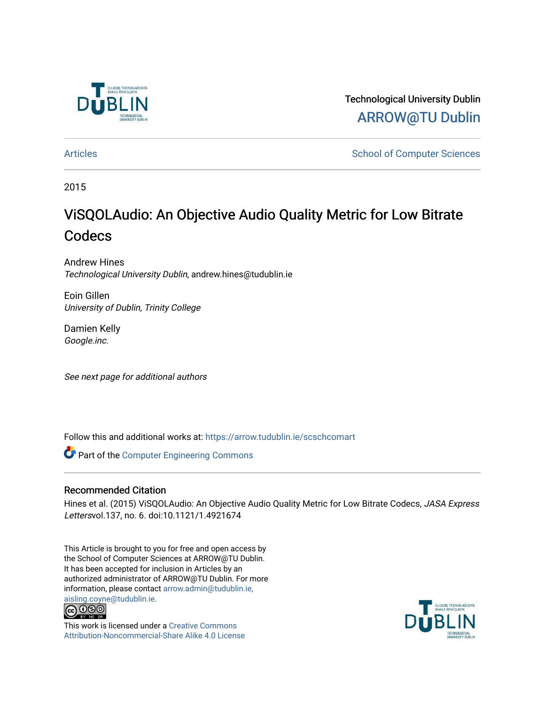

Technological University Dublin [ARROW@TU Dublin](https://arrow.tudublin.ie/) 

[Articles](https://arrow.tudublin.ie/scschcomart) **School of Computer Sciences** School of Computer Sciences

2015

# ViSQOLAudio: An Objective Audio Quality Metric for Low Bitrate **Codecs**

Andrew Hines Technological University Dublin, andrew.hines@tudublin.ie

Eoin Gillen University of Dublin, Trinity College

Damien Kelly Google.inc.

See next page for additional authors

Follow this and additional works at: [https://arrow.tudublin.ie/scschcomart](https://arrow.tudublin.ie/scschcomart?utm_source=arrow.tudublin.ie%2Fscschcomart%2F34&utm_medium=PDF&utm_campaign=PDFCoverPages)

Part of the [Computer Engineering Commons](http://network.bepress.com/hgg/discipline/258?utm_source=arrow.tudublin.ie%2Fscschcomart%2F34&utm_medium=PDF&utm_campaign=PDFCoverPages) 

### Recommended Citation

Hines et al. (2015) ViSQOLAudio: An Objective Audio Quality Metric for Low Bitrate Codecs, JASA Express Lettersvol.137, no. 6. doi:10.1121/1.4921674

This Article is brought to you for free and open access by the School of Computer Sciences at ARROW@TU Dublin. It has been accepted for inclusion in Articles by an authorized administrator of ARROW@TU Dublin. For more information, please contact [arrow.admin@tudublin.ie,](mailto:arrow.admin@tudublin.ie,%20aisling.coyne@tudublin.ie)  [aisling.coyne@tudublin.ie.](mailto:arrow.admin@tudublin.ie,%20aisling.coyne@tudublin.ie)<br>© 090



This work is licensed under a [Creative Commons](http://creativecommons.org/licenses/by-nc-sa/4.0/) [Attribution-Noncommercial-Share Alike 4.0 License](http://creativecommons.org/licenses/by-nc-sa/4.0/)

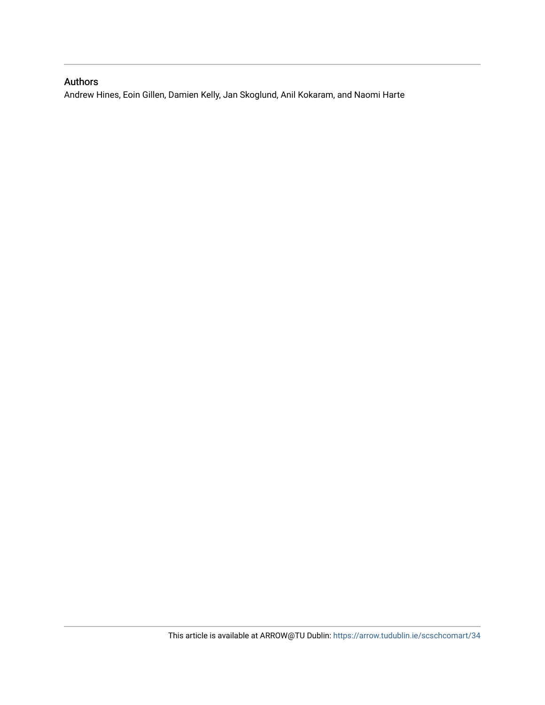## Authors

Andrew Hines, Eoin Gillen, Damien Kelly, Jan Skoglund, Anil Kokaram, and Naomi Harte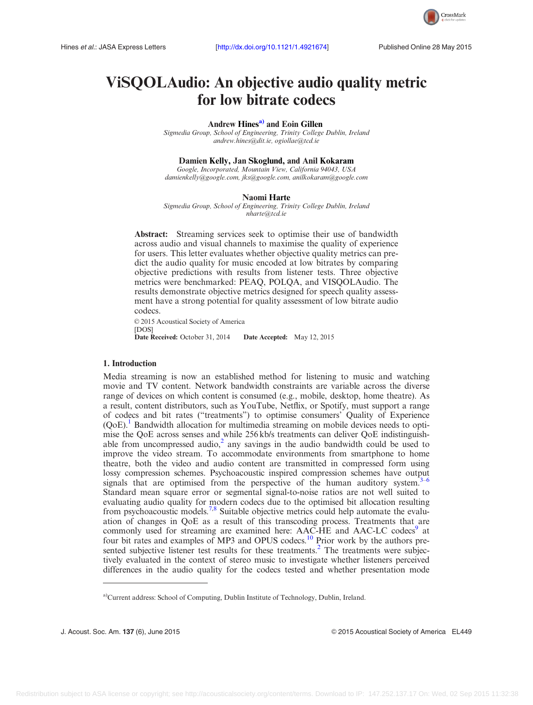

# ViSQOLAudio: An objective audio quality metric for low bitrate codecs

Andrew Hines<sup>a)</sup> and Eoin Gillen

Sigmedia Group, School of Engineering, Trinity College Dublin, Ireland [andrew.hines@dit.ie,](mailto:andrew.hines@dit.ie) [ogiollae@tcd.ie](mailto:ogiollae@tcd.ie)

#### Damien Kelly, Jan Skoglund, and Anil Kokaram

Google, Incorporated, Mountain View, California 94043, USA [damienkelly@google.com,](mailto:damienkelly@google.com) [jks@google.com](mailto:jks@google.com), [anilkokaram@google.com](mailto:anilkokaram@google.com)

#### Naomi Harte

Sigmedia Group, School of Engineering, Trinity College Dublin, Ireland [nharte@tcd.ie](mailto:nharte@tcd.ie)

Abstract: Streaming services seek to optimise their use of bandwidth across audio and visual channels to maximise the quality of experience for users. This letter evaluates whether objective quality metrics can predict the audio quality for music encoded at low bitrates by comparing objective predictions with results from listener tests. Three objective metrics were benchmarked: PEAQ, POLQA, and VISQOLAudio. The results demonstrate objective metrics designed for speech quality assessment have a strong potential for quality assessment of low bitrate audio codecs.

© 2015 Acoustical Society of America [DOS] Date Received: October 31, 2014 Date Accepted: May 12, 2015

#### 1. Introduction

Media streaming is now an established method for listening to music and watching movie and TV content. Network bandwidth constraints are variable across the diverse range of devices on which content is consumed (e.g., mobile, desktop, home theatre). As a result, content distributors, such as YouTube, Netflix, or Spotify, must support a range of codecs and bit rates ("treatments") to optimise consumers' Quality of Experience  $(QoE)$ .<sup>1</sup> Bandwidth allocation for multimedia streaming on mobile devices needs to optimise the QoE across senses and while 256 kb/s treatments can deliver QoE indistinguishable from uncompressed audio,<sup>2</sup> any savings in the audio bandwidth could be used to improve the video stream. To accommodate environments from smartphone to home theatre, both the video and audio content are transmitted in compressed form using lossy compression schemes. Psychoacoustic inspired compression schemes have output signals that are optimised from the perspective of the human auditory system.<sup>3–[6](#page-7-0)</sup> Standard mean square error or segmental signal-to-noise ratios are not well suited to evaluating audio quality for modern codecs due to the optimised bit allocation resulting from psychoacoustic models.[7,8](#page-7-0) Suitable objective metrics could help automate the evaluation of changes in QoE as a result of this transcoding process. Treatments that are commonly used for streaming are examined here: AAC-HE and AAC-LC codecs<sup>9</sup> at four bit rates and examples of MP3 and OPUS codecs.<sup>10</sup> Prior work by the authors pre-sented subjective listener test results for these treatments.<sup>[2](#page-7-0)</sup> The treatments were subjectively evaluated in the context of stereo music to investigate whether listeners perceived differences in the audio quality for the codecs tested and whether presentation mode

a)Current address: School of Computing, Dublin Institute of Technology, Dublin, Ireland.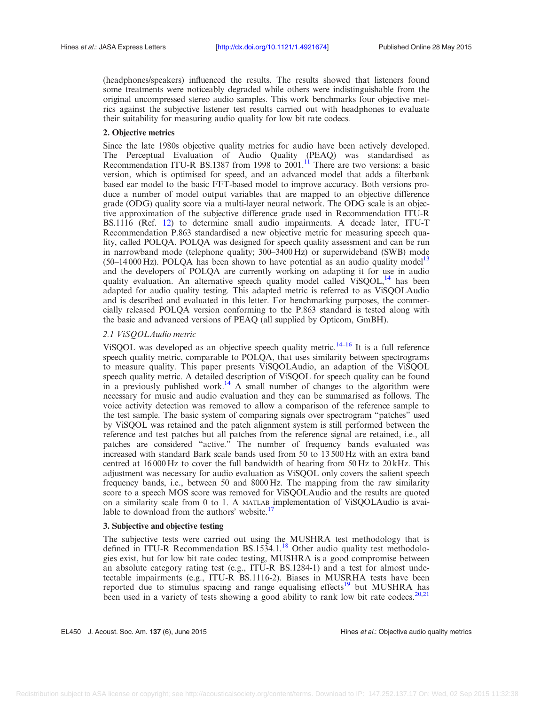(headphones/speakers) influenced the results. The results showed that listeners found some treatments were noticeably degraded while others were indistinguishable from the original uncompressed stereo audio samples. This work benchmarks four objective metrics against the subjective listener test results carried out with headphones to evaluate their suitability for measuring audio quality for low bit rate codecs.

### 2. Objective metrics

Since the late 1980s objective quality metrics for audio have been actively developed. The Perceptual Evaluation of Audio Quality (PEAQ) was standardised as Recommendation ITU-R BS.1387 from 1998 to 2001.<sup>11</sup> There are two versions: a basic version, which is optimised for speed, and an advanced model that adds a filterbank based ear model to the basic FFT-based model to improve accuracy. Both versions produce a number of model output variables that are mapped to an objective difference grade (ODG) quality score via a multi-layer neural network. The ODG scale is an objective approximation of the subjective difference grade used in Recommendation ITU-R BS.1116 (Ref. [12](#page-8-0)) to determine small audio impairments. A decade later, ITU-T Recommendation P.863 standardised a new objective metric for measuring speech quality, called POLQA. POLQA was designed for speech quality assessment and can be run in narrowband mode (telephone quality; 300–3400 Hz) or superwideband (SWB) mode  $(50-14000 \text{ Hz})$ . POLQA has been shown to have potential as an audio quality model<sup>13</sup> and the developers of POLQA are currently working on adapting it for use in audio quality evaluation. An alternative speech quality model called ViSQOL,<sup>14</sup> has been adapted for audio quality testing. This adapted metric is referred to as ViSQOLAudio and is described and evaluated in this letter. For benchmarking purposes, the commercially released POLQA version conforming to the P.863 standard is tested along with the basic and advanced versions of PEAQ (all supplied by Opticom, GmBH).

### 2.1 ViSQOLAudio metric

ViSQOL was developed as an objective speech quality metric.<sup>[14](#page-8-0)–[16](#page-8-0)</sup> It is a full reference speech quality metric, comparable to POLQA, that uses similarity between spectrograms to measure quality. This paper presents ViSQOLAudio, an adaption of the ViSQOL speech quality metric. A detailed description of ViSQOL for speech quality can be found in a previously published work.<sup>[14](#page-8-0)</sup> A small number of changes to the algorithm were necessary for music and audio evaluation and they can be summarised as follows. The voice activity detection was removed to allow a comparison of the reference sample to the test sample. The basic system of comparing signals over spectrogram "patches" used by ViSQOL was retained and the patch alignment system is still performed between the reference and test patches but all patches from the reference signal are retained, i.e., all patches are considered "active." The number of frequency bands evaluated was increased with standard Bark scale bands used from 50 to 13 500 Hz with an extra band centred at  $16000 \text{ Hz}$  to cover the full bandwidth of hearing from  $50 \text{ Hz}$  to  $20 \text{ kHz}$ . This adjustment was necessary for audio evaluation as ViSQOL only covers the salient speech frequency bands, i.e., between 50 and 8000 Hz. The mapping from the raw similarity score to a speech MOS score was removed for ViSQOLAudio and the results are quoted on a similarity scale from 0 to 1. A MATLAB implementation of ViSQOLAudio is avai-lable to download from the authors' website.<sup>[17](#page-8-0)</sup>

#### 3. Subjective and objective testing

The subjective tests were carried out using the MUSHRA test methodology that is defined in ITU-R Recommendation  $BS.1534.1<sup>18</sup>$  $BS.1534.1<sup>18</sup>$  $BS.1534.1<sup>18</sup>$  Other audio quality test methodologies exist, but for low bit rate codec testing, MUSHRA is a good compromise between an absolute category rating test (e.g., ITU-R BS.1284-1) and a test for almost undetectable impairments (e.g., ITU-R BS.1116-2). Biases in MUSRHA tests have been reported due to stimulus spacing and range equalising effects<sup>[19](#page-8-0)</sup> but MUSHRA has been used in a variety of tests showing a good ability to rank low bit rate codecs.<sup>[20,21](#page-8-0)</sup>

EL450 J. Acoust. Soc. Am. 137 (6), June 2015 **Hines et al.: Objective audio quality metrics**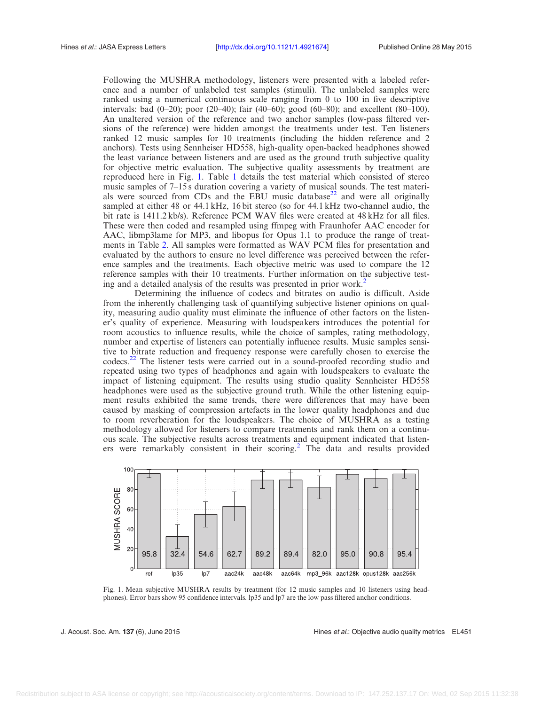<span id="page-4-0"></span>Following the MUSHRA methodology, listeners were presented with a labeled reference and a number of unlabeled test samples (stimuli). The unlabeled samples were ranked using a numerical continuous scale ranging from 0 to 100 in five descriptive intervals: bad (0–20); poor (20–40); fair (40–60); good (60–80); and excellent (80–100). An unaltered version of the reference and two anchor samples (low-pass filtered versions of the reference) were hidden amongst the treatments under test. Ten listeners ranked 12 music samples for 10 treatments (including the hidden reference and 2 anchors). Tests using Sennheiser HD558, high-quality open-backed headphones showed the least variance between listeners and are used as the ground truth subjective quality for objective metric evaluation. The subjective quality assessments by treatment are reproduced here in Fig. 1. Table [1](#page-5-0) details the test material which consisted of stereo music samples of 7–15 s duration covering a variety of musical sounds. The test materials were sourced from CDs and the EBU music database<sup>22</sup> and were all originally sampled at either 48 or 44.1 kHz, 16 bit stereo (so for 44.1 kHz two-channel audio, the bit rate is 1411.2 kb/s). Reference PCM WAV files were created at 48 kHz for all files. These were then coded and resampled using ffmpeg with Fraunhofer AAC encoder for AAC, libmp3lame for MP3, and libopus for Opus 1.1 to produce the range of treatments in Table [2](#page-5-0). All samples were formatted as WAV PCM files for presentation and evaluated by the authors to ensure no level difference was perceived between the reference samples and the treatments. Each objective metric was used to compare the 12 reference samples with their 10 treatments. Further information on the subjective test-ing and a detailed analysis of the results was presented in prior work.<sup>[2](#page-7-0)</sup>

Determining the influence of codecs and bitrates on audio is difficult. Aside from the inherently challenging task of quantifying subjective listener opinions on quality, measuring audio quality must eliminate the influence of other factors on the listener's quality of experience. Measuring with loudspeakers introduces the potential for room acoustics to influence results, while the choice of samples, rating methodology, number and expertise of listeners can potentially influence results. Music samples sensitive to bitrate reduction and frequency response were carefully chosen to exercise the codecs.<sup>[22](#page-8-0)</sup> The listener tests were carried out in a sound-proofed recording studio and repeated using two types of headphones and again with loudspeakers to evaluate the impact of listening equipment. The results using studio quality Sennheister HD558 headphones were used as the subjective ground truth. While the other listening equipment results exhibited the same trends, there were differences that may have been caused by masking of compression artefacts in the lower quality headphones and due to room reverberation for the loudspeakers. The choice of MUSHRA as a testing methodology allowed for listeners to compare treatments and rank them on a continuous scale. The subjective results across treatments and equipment indicated that listen-ers were remarkably consistent in their scoring.<sup>[2](#page-7-0)</sup> The data and results provided



Fig. 1. Mean subjective MUSHRA results by treatment (for 12 music samples and 10 listeners using headphones). Error bars show 95 confidence intervals. lp35 and lp7 are the low pass filtered anchor conditions.

J. Acoust. Soc. Am. 137 (6), June 2015 **Hines et al.: Objective audio quality metrics** EL451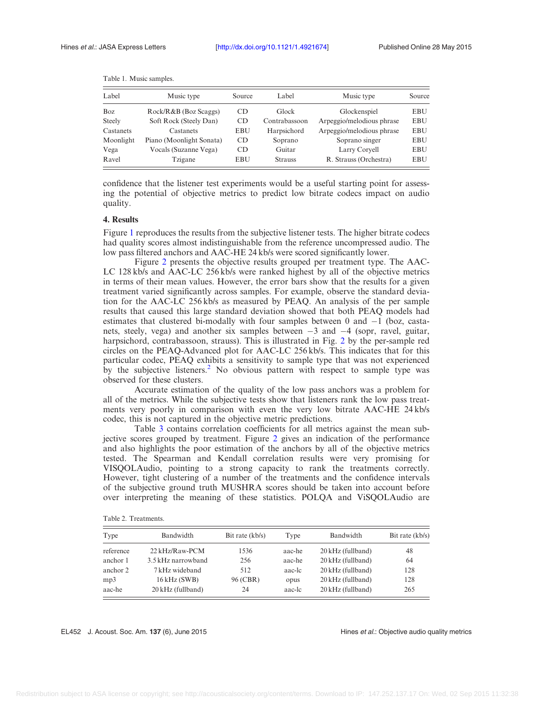| Label         | Music type               | Source     | Label          | Music type                | Source     |
|---------------|--------------------------|------------|----------------|---------------------------|------------|
| <b>Boz</b>    | Rock/R&B (Boz Scaggs)    | CD         | Glock          | Glockenspiel              | <b>EBU</b> |
| <b>Steely</b> | Soft Rock (Steely Dan)   | CD         | Contrabassoon  | Arpeggio/melodious phrase | <b>EBU</b> |
| Castanets     | Castanets                | EBU        | Harpsichord    | Arpeggio/melodious phrase | <b>EBU</b> |
| Moonlight     | Piano (Moonlight Sonata) | CD         | Soprano        | Soprano singer            | <b>EBU</b> |
| Vega          | Vocals (Suzanne Vega)    | CD         | Guitar         | Larry Corvell             | <b>EBU</b> |
| Ravel         | Tzigane                  | <b>EBU</b> | <b>Strauss</b> | R. Strauss (Orchestra)    | <b>EBU</b> |

<span id="page-5-0"></span>Table 1. Music samples.

confidence that the listener test experiments would be a useful starting point for assessing the potential of objective metrics to predict low bitrate codecs impact on audio quality.

#### 4. Results

Figure [1](#page-4-0) reproduces the results from the subjective listener tests. The higher bitrate codecs had quality scores almost indistinguishable from the reference uncompressed audio. The low pass filtered anchors and AAC-HE 24 kb/s were scored significantly lower.

Figure [2](#page-6-0) presents the objective results grouped per treatment type. The AAC-LC 128 kb/s and AAC-LC 256 kb/s were ranked highest by all of the objective metrics in terms of their mean values. However, the error bars show that the results for a given treatment varied significantly across samples. For example, observe the standard deviation for the AAC-LC 256 kb/s as measured by PEAQ. An analysis of the per sample results that caused this large standard deviation showed that both PEAQ models had estimates that clustered bi-modally with four samples between  $0$  and  $-1$  (boz, castanets, steely, vega) and another six samples between  $-3$  and  $-4$  (sopr, ravel, guitar, harpsichord, contrabassoon, strauss). This is illustrated in Fig. [2](#page-6-0) by the per-sample red circles on the PEAQ-Advanced plot for AAC-LC 256 kb/s. This indicates that for this particular codec, PEAQ exhibits a sensitivity to sample type that was not experienced by the subjective listeners.<sup>[2](#page-7-0)</sup> No obvious pattern with respect to sample type was observed for these clusters.

Accurate estimation of the quality of the low pass anchors was a problem for all of the metrics. While the subjective tests show that listeners rank the low pass treatments very poorly in comparison with even the very low bitrate AAC-HE 24 kb/s codec, this is not captured in the objective metric predictions.

Table [3](#page-6-0) contains correlation coefficients for all metrics against the mean subjective scores grouped by treatment. Figure [2](#page-6-0) gives an indication of the performance and also highlights the poor estimation of the anchors by all of the objective metrics tested. The Spearman and Kendall correlation results were very promising for VISQOLAudio, pointing to a strong capacity to rank the treatments correctly. However, tight clustering of a number of the treatments and the confidence intervals of the subjective ground truth MUSHRA scores should be taken into account before over interpreting the meaning of these statistics. POLQA and ViSQOLAudio are

| Type      | Bandwidth          | Bit rate $(kb/s)$ | Type   | Bandwidth         | Bit rate $(kb/s)$ |  |
|-----------|--------------------|-------------------|--------|-------------------|-------------------|--|
| reference | 22 kHz/Raw-PCM     | 1536              | aac-he | 20 kHz (fullband) | 48                |  |
| anchor 1  | 3.5 kHz narrowband | 256               | aac-he | 20 kHz (fullband) | 64                |  |
| anchor 2  | 7 kHz wideband     | 512               | aac-lc | 20 kHz (fullband) | 128               |  |
| mp3       | $16kHz$ (SWB)      | 96 (CBR)          | opus   | 20 kHz (fullband) | 128               |  |
| aac-he    | 20 kHz (fullband)  | 24                | aac-le | 20 kHz (fullband) | 265               |  |

Table 2. Treatments.

EL452 J. Acoust. Soc. Am. 137 (6), June 2015 **Hines et al.: Objective audio quality metrics**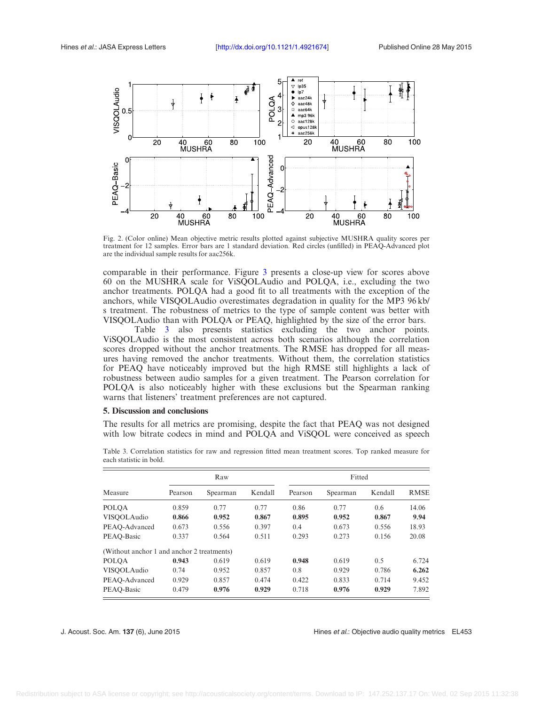<span id="page-6-0"></span>

Fig. 2. (Color online) Mean objective metric results plotted against subjective MUSHRA quality scores per treatment for 12 samples. Error bars are 1 standard deviation. Red circles (unfilled) in PEAQ-Advanced plot are the individual sample results for aac256k.

comparable in their performance. Figure [3](#page-7-0) presents a close-up view for scores above 60 on the MUSHRA scale for ViSQOLAudio and POLQA, i.e., excluding the two anchor treatments. POLQA had a good fit to all treatments with the exception of the anchors, while VISQOLAudio overestimates degradation in quality for the MP3 96 kb/ s treatment. The robustness of metrics to the type of sample content was better with VISQOLAudio than with POLQA or PEAQ, highlighted by the size of the error bars.

Table 3 also presents statistics excluding the two anchor points. ViSQOLAudio is the most consistent across both scenarios although the correlation scores dropped without the anchor treatments. The RMSE has dropped for all measures having removed the anchor treatments. Without them, the correlation statistics for PEAQ have noticeably improved but the high RMSE still highlights a lack of robustness between audio samples for a given treatment. The Pearson correlation for POLQA is also noticeably higher with these exclusions but the Spearman ranking warns that listeners' treatment preferences are not captured.

#### 5. Discussion and conclusions

The results for all metrics are promising, despite the fact that PEAQ was not designed with low bitrate codecs in mind and POLQA and ViSQOL were conceived as speech

|                                            | Raw     |          |         | Fitted  |          |         |             |  |
|--------------------------------------------|---------|----------|---------|---------|----------|---------|-------------|--|
| Measure                                    | Pearson | Spearman | Kendall | Pearson | Spearman | Kendall | <b>RMSE</b> |  |
| <b>POLOA</b>                               | 0.859   | 0.77     | 0.77    | 0.86    | 0.77     | 0.6     | 14.06       |  |
| VISOOLAudio                                | 0.866   | 0.952    | 0.867   | 0.895   | 0.952    | 0.867   | 9.94        |  |
| PEAO-Advanced                              | 0.673   | 0.556    | 0.397   | 0.4     | 0.673    | 0.556   | 18.93       |  |
| PEAO-Basic                                 | 0.337   | 0.564    | 0.511   | 0.293   | 0.273    | 0.156   | 20.08       |  |
| (Without anchor 1 and anchor 2 treatments) |         |          |         |         |          |         |             |  |
| POLQA                                      | 0.943   | 0.619    | 0.619   | 0.948   | 0.619    | 0.5     | 6.724       |  |
| VISOOLAudio                                | 0.74    | 0.952    | 0.857   | 0.8     | 0.929    | 0.786   | 6.262       |  |
| PEAO-Advanced                              | 0.929   | 0.857    | 0.474   | 0.422   | 0.833    | 0.714   | 9.452       |  |
| PEAO-Basic                                 | 0.479   | 0.976    | 0.929   | 0.718   | 0.976    | 0.929   | 7.892       |  |

Table 3. Correlation statistics for raw and regression fitted mean treatment scores. Top ranked measure for each statistic in bold.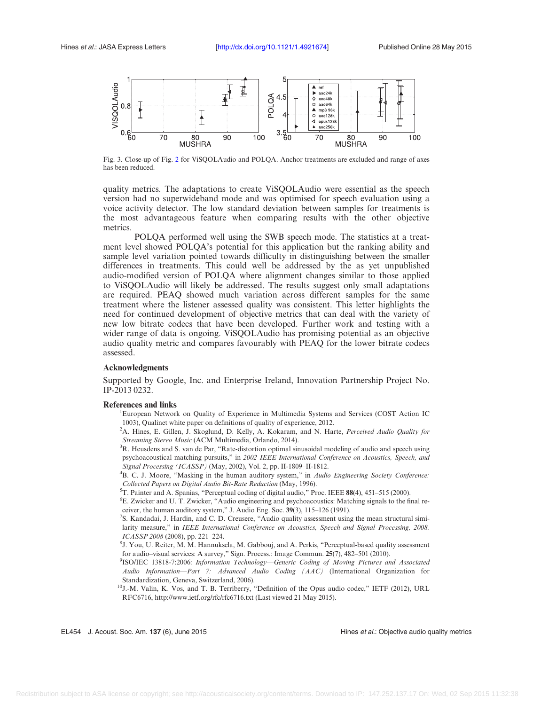<span id="page-7-0"></span>

Fig. 3. Close-up of Fig. [2](#page-6-0) for ViSQOLAudio and POLQA. Anchor treatments are excluded and range of axes has been reduced.

quality metrics. The adaptations to create ViSQOLAudio were essential as the speech version had no superwideband mode and was optimised for speech evaluation using a voice activity detector. The low standard deviation between samples for treatments is the most advantageous feature when comparing results with the other objective metrics.

POLQA performed well using the SWB speech mode. The statistics at a treatment level showed POLQA's potential for this application but the ranking ability and sample level variation pointed towards difficulty in distinguishing between the smaller differences in treatments. This could well be addressed by the as yet unpublished audio-modified version of POLQA where alignment changes similar to those applied to ViSQOLAudio will likely be addressed. The results suggest only small adaptations are required. PEAQ showed much variation across different samples for the same treatment where the listener assessed quality was consistent. This letter highlights the need for continued development of objective metrics that can deal with the variety of new low bitrate codecs that have been developed. Further work and testing with a wider range of data is ongoing. ViSQOLAudio has promising potential as an objective audio quality metric and compares favourably with PEAQ for the lower bitrate codecs assessed.

#### Acknowledgments

Supported by Google, Inc. and Enterprise Ireland, Innovation Partnership Project No. IP-2013 0232.

#### References and links

European Network on Quality of Experience in Multimedia Systems and Services (COST Action IC 1003), Qualinet white paper on definitions of quality of experience, 2012.

<sup>2</sup>A. Hines, E. Gillen, J. Skoglund, D. Kelly, A. Kokaram, and N. Harte, Perceived Audio Quality for Streaming Stereo Music (ACM Multimedia, Orlando, 2014).

 ${}^{3}R$ . Heusdens and S. van de Par, "Rate-distortion optimal sinusoidal modeling of audio and speech using psychoacoustical matching pursuits," in 2002 IEEE International Conference on Acoustics, Speech, and Signal Processing (ICASSP) (May, 2002), Vol. 2, pp. II-1809–II-1812.

<sup>4</sup>B. C. J. Moore, "Masking in the human auditory system," in Audio Engineering Society Conference: Collected Papers on Digital Audio Bit-Rate Reduction (May, 1996).

 ${}^{5}$ T. Painter and A. Spanias, "Perceptual coding of digital audio," Proc. IEEE 88(4), 451–515 (2000).

E. Zwicker and U. T. Zwicker, "Audio engineering and psychoacoustics: Matching signals to the final receiver, the human auditory system," J. Audio Eng. Soc. <sup>39</sup>(3), 115–126 (1991). <sup>7</sup>

<sup>7</sup>S. Kandadai, J. Hardin, and C. D. Creusere, "Audio quality assessment using the mean structural similarity measure," in IEEE International Conference on Acoustics, Speech and Signal Processing, 2008. ICASSP 2008 (2008), pp. 221–224.

<sup>8</sup>J. You, U. Reiter, M. M. Hannuksela, M. Gabbouj, and A. Perkis, "Perceptual-based quality assessment for audio-visual services: A survey," Sign. Process.: Image Commun. 25(7), 482-501 (2010).

<sup>9</sup>ISO/IEC 13818-7:2006: Information Technology—Generic Coding of Moving Pictures and Associated Audio Information—Part 7: Advanced Audio Coding (AAC) (International Organization for Standardization, Geneva, Switzerland, 2006).

10J.-M. Valin, K. Vos, and T. B. Terriberry, "Definition of the Opus audio codec," IETF (2012), URL RFC6716,<http://www.ietf.org/rfc/rfc6716.txt> (Last viewed 21 May 2015).

EL454 J. Acoust. Soc. Am. 137 (6), June 2015 **Hines et al.: Objective audio quality metrics**